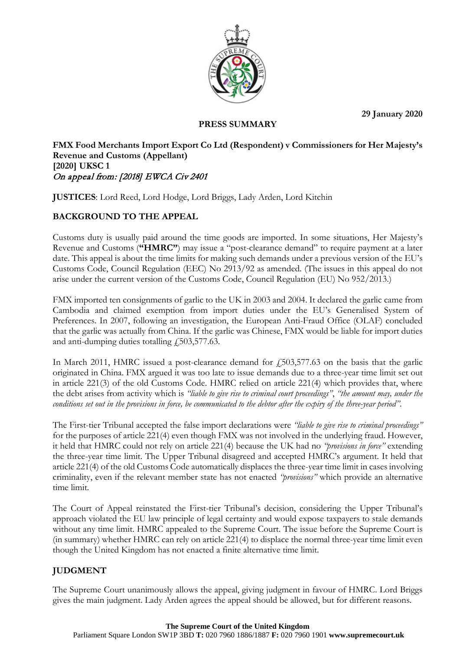**29 January 2020**



## **PRESS SUMMARY**

### **FMX Food Merchants Import Export Co Ltd (Respondent) v Commissioners for Her Majesty's Revenue and Customs (Appellant) [2020] UKSC 1** On appeal from: [2018] EWCA Civ 2401

**JUSTICES**: Lord Reed, Lord Hodge, Lord Briggs, Lady Arden, Lord Kitchin

# **BACKGROUND TO THE APPEAL**

Customs duty is usually paid around the time goods are imported. In some situations, Her Majesty's Revenue and Customs (**"HMRC"**) may issue a "post-clearance demand" to require payment at a later date. This appeal is about the time limits for making such demands under a previous version of the EU's Customs Code, Council Regulation (EEC) No 2913/92 as amended. (The issues in this appeal do not arise under the current version of the Customs Code, Council Regulation (EU) No 952/2013.)

FMX imported ten consignments of garlic to the UK in 2003 and 2004. It declared the garlic came from Cambodia and claimed exemption from import duties under the EU's Generalised System of Preferences. In 2007, following an investigation, the European Anti-Fraud Office (OLAF) concluded that the garlic was actually from China. If the garlic was Chinese, FMX would be liable for import duties and anti-dumping duties totalling  $\emph{f}_2$ , 503, 577.63.

In March 2011, HMRC issued a post-clearance demand for  $f$ 503,577.63 on the basis that the garlic originated in China. FMX argued it was too late to issue demands due to a three-year time limit set out in article 221(3) of the old Customs Code. HMRC relied on article 221(4) which provides that, where the debt arises from activity which is *"liable to give rise to criminal court proceedings"*, *"the amount may, under the conditions set out in the provisions in force, be communicated to the debtor after the expiry of the three-year period"*.

The First-tier Tribunal accepted the false import declarations were *"liable to give rise to criminal proceedings"* for the purposes of article 221(4) even though FMX was not involved in the underlying fraud. However, it held that HMRC could not rely on article 221(4) because the UK had no *"provisions in force"* extending the three-year time limit. The Upper Tribunal disagreed and accepted HMRC's argument. It held that article 221(4) of the old Customs Code automatically displaces the three-year time limit in cases involving criminality, even if the relevant member state has not enacted *"provisions"* which provide an alternative time limit.

The Court of Appeal reinstated the First-tier Tribunal's decision, considering the Upper Tribunal's approach violated the EU law principle of legal certainty and would expose taxpayers to stale demands without any time limit. HMRC appealed to the Supreme Court. The issue before the Supreme Court is (in summary) whether HMRC can rely on article 221(4) to displace the normal three-year time limit even though the United Kingdom has not enacted a finite alternative time limit.

# **JUDGMENT**

The Supreme Court unanimously allows the appeal, giving judgment in favour of HMRC. Lord Briggs gives the main judgment. Lady Arden agrees the appeal should be allowed, but for different reasons.